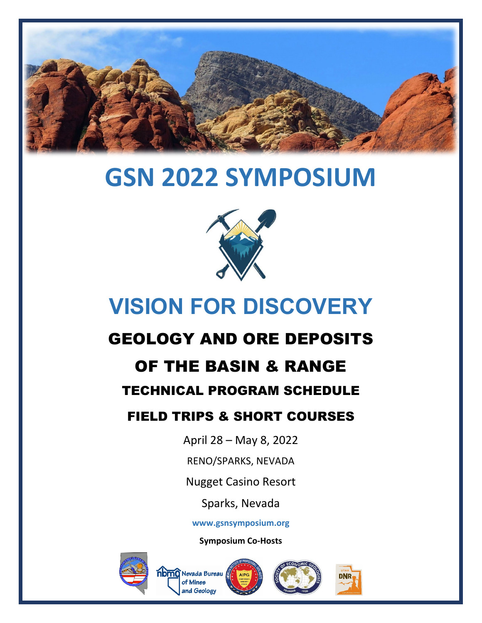

# **GSN 2022 SYMPOSIUM**



## **VISION FOR DISCOVERY**

## GEOLOGY AND ORE DEPOSITS

### OF THE BASIN & RANGE

#### TECHNICAL PROGRAM SCHEDULE

#### FIELD TRIPS & SHORT COURSES

April 28 – May 8, 2022

RENO/SPARKS, NEVADA

Nugget Casino Resort

Sparks, Nevada

**www.gsnsymposium.org**

**Symposium Co-Hosts**



**noma** Nevada Bureau f Mines and Geology



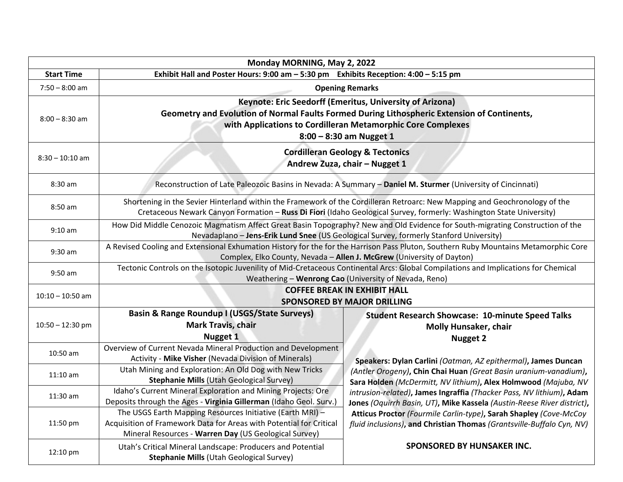|                    | Monday MORNING, May 2, 2022                                                                                                                                                                                                                         |                                                                                                                                                |  |
|--------------------|-----------------------------------------------------------------------------------------------------------------------------------------------------------------------------------------------------------------------------------------------------|------------------------------------------------------------------------------------------------------------------------------------------------|--|
| <b>Start Time</b>  | Exhibit Hall and Poster Hours: 9:00 am - 5:30 pm Exhibits Reception: 4:00 - 5:15 pm                                                                                                                                                                 |                                                                                                                                                |  |
| $7:50 - 8:00$ am   |                                                                                                                                                                                                                                                     | <b>Opening Remarks</b>                                                                                                                         |  |
| $8:00 - 8:30$ am   | Keynote: Eric Seedorff (Emeritus, University of Arizona)<br>Geometry and Evolution of Normal Faults Formed During Lithospheric Extension of Continents,<br>with Applications to Cordilleran Metamorphic Core Complexes<br>$8:00 - 8:30$ am Nugget 1 |                                                                                                                                                |  |
| $8:30 - 10:10$ am  | <b>Cordilleran Geology &amp; Tectonics</b><br>Andrew Zuza, chair - Nugget 1                                                                                                                                                                         |                                                                                                                                                |  |
| 8:30 am            |                                                                                                                                                                                                                                                     | Reconstruction of Late Paleozoic Basins in Nevada: A Summary - Daniel M. Sturmer (University of Cincinnati)                                    |  |
| 8:50 am            | Shortening in the Sevier Hinterland within the Framework of the Cordilleran Retroarc: New Mapping and Geochronology of the<br>Cretaceous Newark Canyon Formation - Russ Di Fiori (Idaho Geological Survey, formerly: Washington State University)   |                                                                                                                                                |  |
| $9:10$ am          | How Did Middle Cenozoic Magmatism Affect Great Basin Topography? New and Old Evidence for South-migrating Construction of the<br>Nevadaplano - Jens-Erik Lund Snee (US Geological Survey, formerly Stanford University)                             |                                                                                                                                                |  |
| 9:30 am            | A Revised Cooling and Extensional Exhumation History for the for the Harrison Pass Pluton, Southern Ruby Mountains Metamorphic Core<br>Complex, Elko County, Nevada - Allen J. McGrew (University of Dayton)                                        |                                                                                                                                                |  |
| 9:50 am            | Tectonic Controls on the Isotopic Juvenility of Mid-Cretaceous Continental Arcs: Global Compilations and Implications for Chemical<br>Weathering - Wenrong Cao (University of Nevada, Reno)                                                         |                                                                                                                                                |  |
| $10:10 - 10:50$ am | <b>COFFEE BREAK IN EXHIBIT HALL</b><br><b>SPONSORED BY MAJOR DRILLING</b>                                                                                                                                                                           |                                                                                                                                                |  |
| $10:50 - 12:30$ pm | <b>Basin &amp; Range Roundup I (USGS/State Surveys)</b><br><b>Mark Travis, chair</b><br>Nugget 1                                                                                                                                                    | <b>Student Research Showcase: 10-minute Speed Talks</b><br><b>Molly Hunsaker, chair</b><br><b>Nugget 2</b>                                     |  |
| 10:50 am           | Overview of Current Nevada Mineral Production and Development<br>Activity - Mike Visher (Nevada Division of Minerals)                                                                                                                               | Speakers: Dylan Carlini (Oatman, AZ epithermal), James Duncan                                                                                  |  |
| $11:10$ am         | Utah Mining and Exploration: An Old Dog with New Tricks<br>Stephanie Mills (Utah Geological Survey)                                                                                                                                                 | (Antler Orogeny), Chin Chai Huan (Great Basin uranium-vanadium),<br>Sara Holden (McDermitt, NV lithium), Alex Holmwood (Majuba, NV             |  |
| 11:30 am           | Idaho's Current Mineral Exploration and Mining Projects: Ore<br>Deposits through the Ages - Virginia Gillerman (Idaho Geol. Surv.)                                                                                                                  | intrusion-related), James Ingraffia (Thacker Pass, NV lithium), Adam<br>Jones (Oquirrh Basin, UT), Mike Kassela (Austin-Reese River district), |  |
| 11:50 pm           | The USGS Earth Mapping Resources Initiative (Earth MRI) -<br>Acquisition of Framework Data for Areas with Potential for Critical<br>Mineral Resources - Warren Day (US Geological Survey)                                                           | Atticus Proctor (Fourmile Carlin-type), Sarah Shapley (Cove-McCoy<br>fluid inclusions), and Christian Thomas (Grantsville-Buffalo Cyn, NV)     |  |
| 12:10 pm           | Utah's Critical Mineral Landscape: Producers and Potential<br>Stephanie Mills (Utah Geological Survey)                                                                                                                                              | SPONSORED BY HUNSAKER INC.                                                                                                                     |  |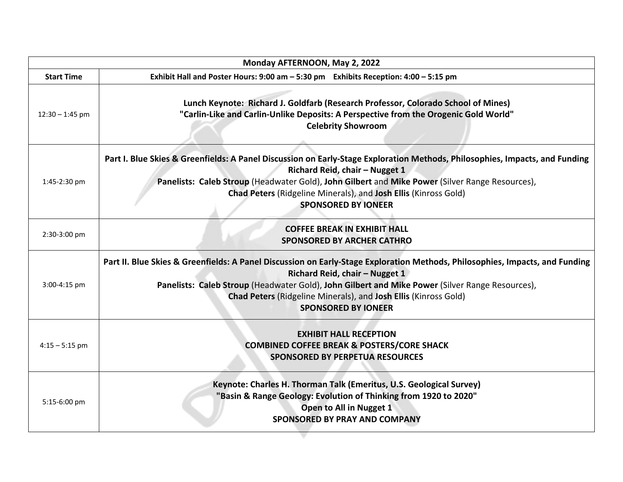| Monday AFTERNOON, May 2, 2022 |                                                                                                                                                                                                                                                                                                                                                                    |  |  |
|-------------------------------|--------------------------------------------------------------------------------------------------------------------------------------------------------------------------------------------------------------------------------------------------------------------------------------------------------------------------------------------------------------------|--|--|
| <b>Start Time</b>             | Exhibit Hall and Poster Hours: 9:00 am - 5:30 pm Exhibits Reception: 4:00 - 5:15 pm                                                                                                                                                                                                                                                                                |  |  |
| $12:30 - 1:45$ pm             | Lunch Keynote: Richard J. Goldfarb (Research Professor, Colorado School of Mines)<br>"Carlin-Like and Carlin-Unlike Deposits: A Perspective from the Orogenic Gold World"<br><b>Celebrity Showroom</b>                                                                                                                                                             |  |  |
| 1:45-2:30 pm                  | Part I. Blue Skies & Greenfields: A Panel Discussion on Early-Stage Exploration Methods, Philosophies, Impacts, and Funding<br>Richard Reid, chair - Nugget 1<br>Panelists: Caleb Stroup (Headwater Gold), John Gilbert and Mike Power (Silver Range Resources),<br>Chad Peters (Ridgeline Minerals), and Josh Ellis (Kinross Gold)<br><b>SPONSORED BY IONEER</b>  |  |  |
| 2:30-3:00 pm                  | <b>COFFEE BREAK IN EXHIBIT HALL</b><br><b>SPONSORED BY ARCHER CATHRO</b>                                                                                                                                                                                                                                                                                           |  |  |
| 3:00-4:15 pm                  | Part II. Blue Skies & Greenfields: A Panel Discussion on Early-Stage Exploration Methods, Philosophies, Impacts, and Funding<br>Richard Reid, chair - Nugget 1<br>Panelists: Caleb Stroup (Headwater Gold), John Gilbert and Mike Power (Silver Range Resources),<br>Chad Peters (Ridgeline Minerals), and Josh Ellis (Kinross Gold)<br><b>SPONSORED BY IONEER</b> |  |  |
| $4:15 - 5:15$ pm              | <b>EXHIBIT HALL RECEPTION</b><br><b>COMBINED COFFEE BREAK &amp; POSTERS/CORE SHACK</b><br><b>SPONSORED BY PERPETUA RESOURCES</b>                                                                                                                                                                                                                                   |  |  |
| 5:15-6:00 pm                  | Keynote: Charles H. Thorman Talk (Emeritus, U.S. Geological Survey)<br>"Basin & Range Geology: Evolution of Thinking from 1920 to 2020"<br>Open to All in Nugget 1<br><b>SPONSORED BY PRAY AND COMPANY</b>                                                                                                                                                         |  |  |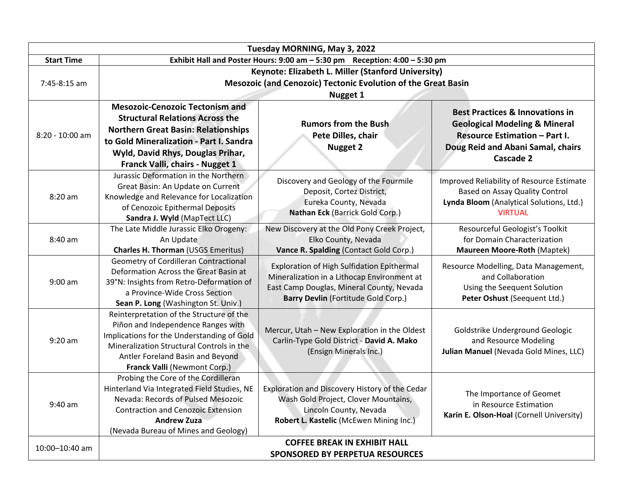| Tuesday MORNING, May 3, 2022                                                                         |                                                                                                                                                                                                                                                   |                                                                                                                                                                               |                                                                                                                                                                                         |
|------------------------------------------------------------------------------------------------------|---------------------------------------------------------------------------------------------------------------------------------------------------------------------------------------------------------------------------------------------------|-------------------------------------------------------------------------------------------------------------------------------------------------------------------------------|-----------------------------------------------------------------------------------------------------------------------------------------------------------------------------------------|
| <b>Start Time</b><br>Exhibit Hall and Poster Hours: $9:00$ am $-5:30$ pm Reception: $4:00 - 5:30$ pm |                                                                                                                                                                                                                                                   |                                                                                                                                                                               |                                                                                                                                                                                         |
| Keynote: Elizabeth L. Miller (Stanford University)                                                   |                                                                                                                                                                                                                                                   |                                                                                                                                                                               |                                                                                                                                                                                         |
| 7:45-8:15 am                                                                                         |                                                                                                                                                                                                                                                   | Mesozoic (and Cenozoic) Tectonic Evolution of the Great Basin                                                                                                                 |                                                                                                                                                                                         |
|                                                                                                      |                                                                                                                                                                                                                                                   | <b>Nugget 1</b>                                                                                                                                                               |                                                                                                                                                                                         |
| 8:20 - 10:00 am                                                                                      | <b>Mesozoic-Cenozoic Tectonism and</b><br><b>Structural Relations Across the</b><br><b>Northern Great Basin: Relationships</b><br>to Gold Mineralization - Part I. Sandra<br>Wyld, David Rhys, Douglas Prihar,<br>Franck Valli, chairs - Nugget 1 | <b>Rumors from the Bush</b><br>Pete Dilles, chair<br><b>Nugget 2</b>                                                                                                          | <b>Best Practices &amp; Innovations in</b><br><b>Geological Modeling &amp; Mineral</b><br><b>Resource Estimation - Part I.</b><br>Doug Reid and Abani Samal, chairs<br><b>Cascade 2</b> |
| 8:20 am                                                                                              | Jurassic Deformation in the Northern<br>Great Basin: An Update on Current<br>Knowledge and Relevance for Localization<br>of Cenozoic Epithermal Deposits<br>Sandra J. Wyld (MapTect LLC)                                                          | Discovery and Geology of the Fourmile<br>Deposit, Cortez District,<br>Eureka County, Nevada<br>Nathan Eck (Barrick Gold Corp.)                                                | Improved Reliability of Resource Estimate<br>Based on Assay Quality Control<br>Lynda Bloom (Analytical Solutions, Ltd.)<br><b>VIRTUAL</b>                                               |
| 8:40 am                                                                                              | The Late Middle Jurassic Elko Orogeny:<br>An Update<br><b>Charles H. Thorman (USGS Emeritus)</b>                                                                                                                                                  | New Discovery at the Old Pony Creek Project,<br>Elko County, Nevada<br>Vance R. Spalding (Contact Gold Corp.)                                                                 | Resourceful Geologist's Toolkit<br>for Domain Characterization<br><b>Maureen Moore-Roth (Maptek)</b>                                                                                    |
| $9:00$ am                                                                                            | Geometry of Cordilleran Contractional<br>Deformation Across the Great Basin at<br>39°N: Insights from Retro-Deformation of<br>a Province-Wide Cross Section<br>Sean P. Long (Washington St. Univ.)                                                | Exploration of High Sulfidation Epithermal<br>Mineralization in a Lithocap Environment at<br>East Camp Douglas, Mineral County, Nevada<br>Barry Devlin (Fortitude Gold Corp.) | Resource Modelling, Data Management,<br>and Collaboration<br>Using the Seequent Solution<br>Peter Oshust (Seequent Ltd.)                                                                |
| $9:20$ am                                                                                            | Reinterpretation of the Structure of the<br>Piñon and Independence Ranges with<br>Implications for the Understanding of Gold<br>Mineralization Structural Controls in the<br>Antler Foreland Basin and Beyond<br>Franck Valli (Newmont Corp.)     | Mercur, Utah - New Exploration in the Oldest<br>Carlin-Type Gold District - David A. Mako<br>(Ensign Minerals Inc.)                                                           | Goldstrike Underground Geologic<br>and Resource Modeling<br>Julian Manuel (Nevada Gold Mines, LLC)                                                                                      |
| $9:40$ am                                                                                            | Probing the Core of the Cordilleran<br>Hinterland Via Integrated Field Studies, NE<br>Nevada: Records of Pulsed Mesozoic<br><b>Contraction and Cenozoic Extension</b><br><b>Andrew Zuza</b><br>(Nevada Bureau of Mines and Geology)               | Exploration and Discovery History of the Cedar<br>Wash Gold Project, Clover Mountains,<br>Lincoln County, Nevada<br>Robert L. Kastelic (McEwen Mining Inc.)                   | The Importance of Geomet<br>in Resource Estimation<br>Karin E. Olson-Hoal (Cornell University)                                                                                          |
| 10:00-10:40 am                                                                                       |                                                                                                                                                                                                                                                   | <b>COFFEE BREAK IN EXHIBIT HALL</b><br><b>SPONSORED BY PERPETUA RESOURCES</b>                                                                                                 |                                                                                                                                                                                         |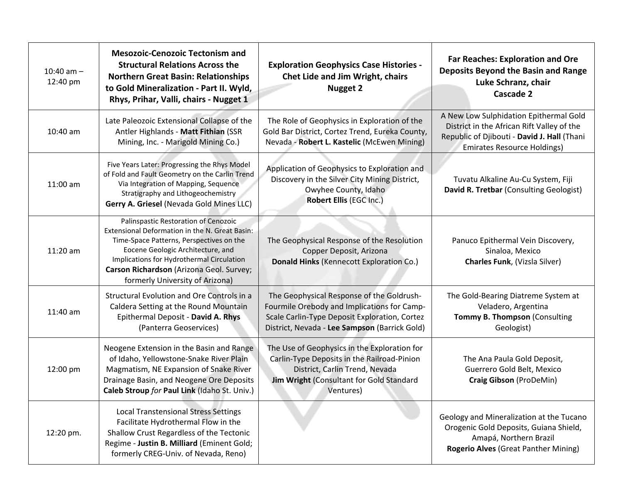| 10:40 am $-$<br>12:40 pm | <b>Mesozoic-Cenozoic Tectonism and</b><br><b>Structural Relations Across the</b><br><b>Northern Great Basin: Relationships</b><br>to Gold Mineralization - Part II. Wyld,<br>Rhys, Prihar, Valli, chairs - Nugget 1                                                                                 | <b>Exploration Geophysics Case Histories -</b><br>Chet Lide and Jim Wright, chairs<br><b>Nugget 2</b>                                                                                      | <b>Far Reaches: Exploration and Ore</b><br>Deposits Beyond the Basin and Range<br>Luke Schranz, chair<br>Cascade 2                                                        |
|--------------------------|-----------------------------------------------------------------------------------------------------------------------------------------------------------------------------------------------------------------------------------------------------------------------------------------------------|--------------------------------------------------------------------------------------------------------------------------------------------------------------------------------------------|---------------------------------------------------------------------------------------------------------------------------------------------------------------------------|
| 10:40 am                 | Late Paleozoic Extensional Collapse of the<br>Antler Highlands - Matt Fithian (SSR<br>Mining, Inc. - Marigold Mining Co.)                                                                                                                                                                           | The Role of Geophysics in Exploration of the<br>Gold Bar District, Cortez Trend, Eureka County,<br>Nevada - Robert L. Kastelic (McEwen Mining)                                             | A New Low Sulphidation Epithermal Gold<br>District in the African Rift Valley of the<br>Republic of Djibouti - David J. Hall (Thani<br><b>Emirates Resource Holdings)</b> |
| 11:00 am                 | Five Years Later: Progressing the Rhys Model<br>of Fold and Fault Geometry on the Carlin Trend<br>Via Integration of Mapping, Sequence<br>Stratigraphy and Lithogeochemistry<br>Gerry A. Griesel (Nevada Gold Mines LLC)                                                                            | Application of Geophysics to Exploration and<br>Discovery in the Silver City Mining District,<br>Owyhee County, Idaho<br>Robert Ellis (EGC Inc.)                                           | Tuvatu Alkaline Au-Cu System, Fiji<br>David R. Tretbar (Consulting Geologist)                                                                                             |
| 11:20 am                 | Palinspastic Restoration of Cenozoic<br>Extensional Deformation in the N. Great Basin:<br>Time-Space Patterns, Perspectives on the<br>Eocene Geologic Architecture, and<br>Implications for Hydrothermal Circulation<br>Carson Richardson (Arizona Geol. Survey;<br>formerly University of Arizona) | The Geophysical Response of the Resolution<br>Copper Deposit, Arizona<br>Donald Hinks (Kennecott Exploration Co.)                                                                          | Panuco Epithermal Vein Discovery,<br>Sinaloa, Mexico<br>Charles Funk, (Vizsla Silver)                                                                                     |
| 11:40 am                 | Structural Evolution and Ore Controls in a<br>Caldera Setting at the Round Mountain<br>Epithermal Deposit - David A. Rhys<br>(Panterra Geoservices)                                                                                                                                                 | The Geophysical Response of the Goldrush-<br>Fourmile Orebody and Implications for Camp-<br>Scale Carlin-Type Deposit Exploration, Cortez<br>District, Nevada - Lee Sampson (Barrick Gold) | The Gold-Bearing Diatreme System at<br>Veladero, Argentina<br>Tommy B. Thompson (Consulting<br>Geologist)                                                                 |
| 12:00 pm                 | Neogene Extension in the Basin and Range<br>of Idaho, Yellowstone-Snake River Plain<br>Magmatism, NE Expansion of Snake River<br>Drainage Basin, and Neogene Ore Deposits<br>Caleb Stroup for Paul Link (Idaho St. Univ.)                                                                           | The Use of Geophysics in the Exploration for<br>Carlin-Type Deposits in the Railroad-Pinion<br>District, Carlin Trend, Nevada<br>Jim Wright (Consultant for Gold Standard<br>Ventures)     | The Ana Paula Gold Deposit,<br>Guerrero Gold Belt, Mexico<br>Craig Gibson (ProDeMin)                                                                                      |
| 12:20 pm.                | <b>Local Transtensional Stress Settings</b><br>Facilitate Hydrothermal Flow in the<br>Shallow Crust Regardless of the Tectonic<br>Regime - Justin B. Milliard (Eminent Gold;<br>formerly CREG-Univ. of Nevada, Reno)                                                                                |                                                                                                                                                                                            | Geology and Mineralization at the Tucano<br>Orogenic Gold Deposits, Guiana Shield,<br>Amapá, Northern Brazil<br><b>Rogerio Alves (Great Panther Mining)</b>               |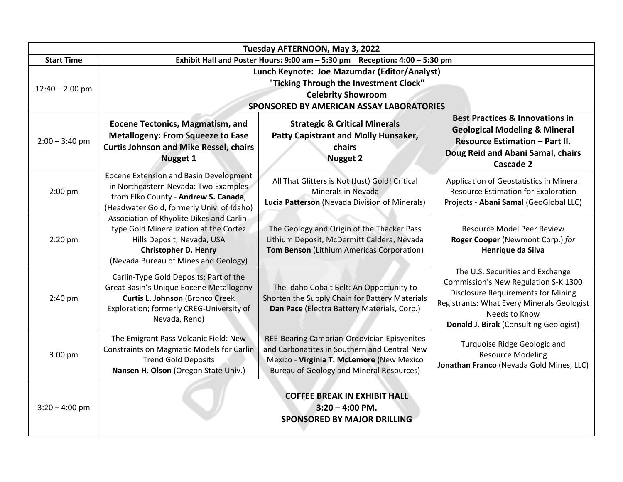| Tuesday AFTERNOON, May 3, 2022 |                                                                                                                                                                                                                                                                                                                                                                                                                          |                                                                                                                                                                                             |                                                                                                                                                                                                                                |
|--------------------------------|--------------------------------------------------------------------------------------------------------------------------------------------------------------------------------------------------------------------------------------------------------------------------------------------------------------------------------------------------------------------------------------------------------------------------|---------------------------------------------------------------------------------------------------------------------------------------------------------------------------------------------|--------------------------------------------------------------------------------------------------------------------------------------------------------------------------------------------------------------------------------|
| <b>Start Time</b>              | Exhibit Hall and Poster Hours: 9:00 am - 5:30 pm Reception: 4:00 - 5:30 pm                                                                                                                                                                                                                                                                                                                                               |                                                                                                                                                                                             |                                                                                                                                                                                                                                |
| $12:40 - 2:00$ pm              | Lunch Keynote: Joe Mazumdar (Editor/Analyst)<br>"Ticking Through the Investment Clock"<br><b>Celebrity Showroom</b><br>SPONSORED BY AMERICAN ASSAY LABORATORIES                                                                                                                                                                                                                                                          |                                                                                                                                                                                             |                                                                                                                                                                                                                                |
| $2:00 - 3:40$ pm               | <b>Best Practices &amp; Innovations in</b><br><b>Strategic &amp; Critical Minerals</b><br><b>Eocene Tectonics, Magmatism, and</b><br><b>Geological Modeling &amp; Mineral</b><br><b>Patty Capistrant and Molly Hunsaker,</b><br><b>Metallogeny: From Squeeze to Ease</b><br>Resource Estimation - Part II.<br><b>Curtis Johnson and Mike Ressel, chairs</b><br>chairs<br><b>Nugget 1</b><br><b>Nugget 2</b><br>Cascade 2 |                                                                                                                                                                                             | Doug Reid and Abani Samal, chairs                                                                                                                                                                                              |
| 2:00 pm                        | Eocene Extension and Basin Development<br>in Northeastern Nevada: Two Examples<br>from Elko County - Andrew S. Canada,<br>(Headwater Gold, formerly Univ. of Idaho)                                                                                                                                                                                                                                                      | All That Glitters is Not (Just) Gold! Critical<br>Minerals in Nevada<br>Lucia Patterson (Nevada Division of Minerals)                                                                       | Application of Geostatistics in Mineral<br>Resource Estimation for Exploration<br>Projects - Abani Samal (GeoGlobal LLC)                                                                                                       |
| $2:20$ pm                      | Association of Rhyolite Dikes and Carlin-<br>type Gold Mineralization at the Cortez<br>Hills Deposit, Nevada, USA<br><b>Christopher D. Henry</b><br>(Nevada Bureau of Mines and Geology)                                                                                                                                                                                                                                 | The Geology and Origin of the Thacker Pass<br>Lithium Deposit, McDermitt Caldera, Nevada<br>Tom Benson (Lithium Americas Corporation)                                                       | <b>Resource Model Peer Review</b><br>Roger Cooper (Newmont Corp.) for<br>Henrique da Silva                                                                                                                                     |
| 2:40 pm                        | Carlin-Type Gold Deposits: Part of the<br>Great Basin's Unique Eocene Metallogeny<br><b>Curtis L. Johnson (Bronco Creek</b><br>Exploration; formerly CREG-University of<br>Nevada, Reno)                                                                                                                                                                                                                                 | The Idaho Cobalt Belt: An Opportunity to<br>Shorten the Supply Chain for Battery Materials<br>Dan Pace (Electra Battery Materials, Corp.)                                                   | The U.S. Securities and Exchange<br>Commission's New Regulation S-K 1300<br><b>Disclosure Requirements for Mining</b><br>Registrants: What Every Minerals Geologist<br>Needs to Know<br>Donald J. Birak (Consulting Geologist) |
| 3:00 pm                        | The Emigrant Pass Volcanic Field: New<br><b>Constraints on Magmatic Models for Carlin</b><br><b>Trend Gold Deposits</b><br>Nansen H. Olson (Oregon State Univ.)                                                                                                                                                                                                                                                          | REE-Bearing Cambrian-Ordovician Episyenites<br>and Carbonatites in Southern and Central New<br>Mexico - Virginia T. McLemore (New Mexico<br><b>Bureau of Geology and Mineral Resources)</b> | Turquoise Ridge Geologic and<br><b>Resource Modeling</b><br>Jonathan Franco (Nevada Gold Mines, LLC)                                                                                                                           |
| $3:20 - 4:00$ pm               |                                                                                                                                                                                                                                                                                                                                                                                                                          | <b>COFFEE BREAK IN EXHIBIT HALL</b><br>$3:20 - 4:00$ PM.<br><b>SPONSORED BY MAJOR DRILLING</b>                                                                                              |                                                                                                                                                                                                                                |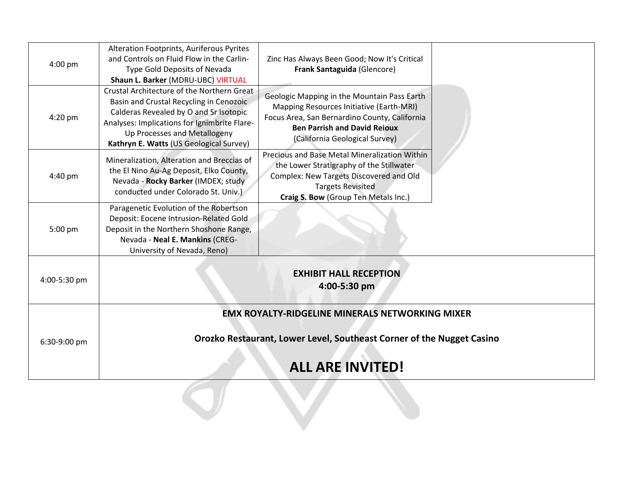| 4:00 pm      | Alteration Footprints, Auriferous Pyrites<br>and Controls on Fluid Flow in the Carlin-<br>Type Gold Deposits of Nevada<br>Shaun L. Barker (MDRU-UBC) VIRTUAL                                                                                               | Zinc Has Always Been Good; Now It's Critical<br>Frank Santaguida (Glencore)                                                                                                                                       |  |
|--------------|------------------------------------------------------------------------------------------------------------------------------------------------------------------------------------------------------------------------------------------------------------|-------------------------------------------------------------------------------------------------------------------------------------------------------------------------------------------------------------------|--|
| 4:20 pm      | Crustal Architecture of the Northern Great<br>Basin and Crustal Recycling in Cenozoic<br>Calderas Revealed by O and Sr Isotopic<br>Analyses: Implications for Ignimbrite Flare-<br>Up Processes and Metallogeny<br>Kathryn E. Watts (US Geological Survey) | Geologic Mapping in the Mountain Pass Earth<br>Mapping Resources Initiative (Earth-MRI)<br>Focus Area, San Bernardino County, California<br><b>Ben Parrish and David Reioux</b><br>(California Geological Survey) |  |
| 4:40 pm      | Mineralization, Alteration and Breccias of<br>the El Nino Au-Ag Deposit, Elko County,<br>Nevada - Rocky Barker (IMDEX; study<br>conducted under Colorado St. Univ.)                                                                                        | Precious and Base Metal Mineralization Within<br>the Lower Stratigraphy of the Stillwater<br>Complex: New Targets Discovered and Old<br><b>Targets Revisited</b><br>Craig S. Bow (Group Ten Metals Inc.)          |  |
| 5:00 pm      | Paragenetic Evolution of the Robertson<br>Deposit: Eocene Intrusion-Related Gold<br>Deposit in the Northern Shoshone Range,<br>Nevada - Neal E. Mankins (CREG-<br>University of Nevada, Reno)                                                              |                                                                                                                                                                                                                   |  |
| 4:00-5:30 pm | <b>EXHIBIT HALL RECEPTION</b><br>4:00-5:30 pm                                                                                                                                                                                                              |                                                                                                                                                                                                                   |  |
|              |                                                                                                                                                                                                                                                            | <b>EMX ROYALTY-RIDGELINE MINERALS NETWORKING MIXER</b>                                                                                                                                                            |  |
| 6:30-9:00 pm |                                                                                                                                                                                                                                                            | Orozko Restaurant, Lower Level, Southeast Corner of the Nugget Casino                                                                                                                                             |  |
|              | <b>ALL ARE INVITED!</b>                                                                                                                                                                                                                                    |                                                                                                                                                                                                                   |  |
|              |                                                                                                                                                                                                                                                            |                                                                                                                                                                                                                   |  |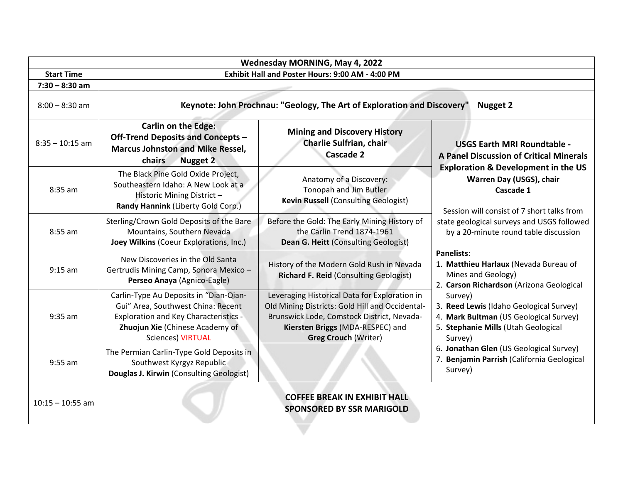| Wednesday MORNING, May 4, 2022 |                                                                                                                                                                                             |                                                                                                                                                                                                                   |                                                                                                                                                                                                                                                                                                                                                                                                                                                                                                                |
|--------------------------------|---------------------------------------------------------------------------------------------------------------------------------------------------------------------------------------------|-------------------------------------------------------------------------------------------------------------------------------------------------------------------------------------------------------------------|----------------------------------------------------------------------------------------------------------------------------------------------------------------------------------------------------------------------------------------------------------------------------------------------------------------------------------------------------------------------------------------------------------------------------------------------------------------------------------------------------------------|
| <b>Start Time</b>              | Exhibit Hall and Poster Hours: 9:00 AM - 4:00 PM                                                                                                                                            |                                                                                                                                                                                                                   |                                                                                                                                                                                                                                                                                                                                                                                                                                                                                                                |
| $7:30 - 8:30$ am               |                                                                                                                                                                                             |                                                                                                                                                                                                                   |                                                                                                                                                                                                                                                                                                                                                                                                                                                                                                                |
| $8:00 - 8:30$ am               | Keynote: John Prochnau: "Geology, The Art of Exploration and Discovery"<br><b>Nugget 2</b>                                                                                                  |                                                                                                                                                                                                                   |                                                                                                                                                                                                                                                                                                                                                                                                                                                                                                                |
| $8:35 - 10:15$ am              | <b>Carlin on the Edge:</b><br><b>Off-Trend Deposits and Concepts -</b><br><b>Marcus Johnston and Mike Ressel,</b><br>chairs<br><b>Nugget 2</b>                                              | <b>Mining and Discovery History</b><br>Charlie Sulfrian, chair<br>Cascade 2                                                                                                                                       | <b>USGS Earth MRI Roundtable -</b><br><b>A Panel Discussion of Critical Minerals</b>                                                                                                                                                                                                                                                                                                                                                                                                                           |
| 8:35 am                        | The Black Pine Gold Oxide Project,<br>Southeastern Idaho: A New Look at a<br>Historic Mining District-<br>Randy Hannink (Liberty Gold Corp.)                                                | Anatomy of a Discovery:<br>Tonopah and Jim Butler<br><b>Kevin Russell (Consulting Geologist)</b>                                                                                                                  | <b>Exploration &amp; Development in the US</b><br>Warren Day (USGS), chair<br>Cascade 1<br>Session will consist of 7 short talks from<br>state geological surveys and USGS followed<br>by a 20-minute round table discussion<br><b>Panelists:</b><br>1. Matthieu Harlaux (Nevada Bureau of<br>Mines and Geology)<br>2. Carson Richardson (Arizona Geological<br>Survey)<br>3. Reed Lewis (Idaho Geological Survey)<br>4. Mark Bultman (US Geological Survey)<br>5. Stephanie Mills (Utah Geological<br>Survey) |
| 8:55 am                        | Sterling/Crown Gold Deposits of the Bare<br>Mountains, Southern Nevada<br>Joey Wilkins (Coeur Explorations, Inc.)                                                                           | Before the Gold: The Early Mining History of<br>the Carlin Trend 1874-1961<br>Dean G. Heitt (Consulting Geologist)                                                                                                |                                                                                                                                                                                                                                                                                                                                                                                                                                                                                                                |
| $9:15$ am                      | New Discoveries in the Old Santa<br>Gertrudis Mining Camp, Sonora Mexico -<br>Perseo Anaya (Agnico-Eagle)                                                                                   | History of the Modern Gold Rush in Nevada<br><b>Richard F. Reid (Consulting Geologist)</b>                                                                                                                        |                                                                                                                                                                                                                                                                                                                                                                                                                                                                                                                |
| $9:35$ am                      | Carlin-Type Au Deposits in "Dian-Qian-<br>Gui" Area, Southwest China: Recent<br><b>Exploration and Key Characteristics -</b><br>Zhuojun Xie (Chinese Academy of<br><b>Sciences) VIRTUAL</b> | Leveraging Historical Data for Exploration in<br>Old Mining Districts: Gold Hill and Occidental-<br>Brunswick Lode, Comstock District, Nevada-<br>Kiersten Briggs (MDA-RESPEC) and<br><b>Greg Crouch (Writer)</b> |                                                                                                                                                                                                                                                                                                                                                                                                                                                                                                                |
| $9:55$ am                      | The Permian Carlin-Type Gold Deposits in<br>Southwest Kyrgyz Republic<br>Douglas J. Kirwin (Consulting Geologist)                                                                           |                                                                                                                                                                                                                   | 6. Jonathan Glen (US Geological Survey)<br>7. Benjamin Parrish (California Geological<br>Survey)                                                                                                                                                                                                                                                                                                                                                                                                               |
| $10:15 - 10:55$ am             |                                                                                                                                                                                             | <b>COFFEE BREAK IN EXHIBIT HALL</b><br><b>SPONSORED BY SSR MARIGOLD</b>                                                                                                                                           |                                                                                                                                                                                                                                                                                                                                                                                                                                                                                                                |

v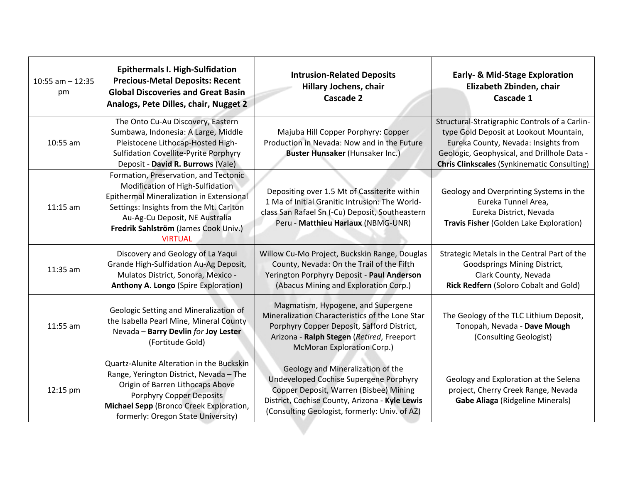| $10:55$ am $- 12:35$<br>pm | <b>Epithermals I. High-Sulfidation</b><br><b>Precious-Metal Deposits: Recent</b><br><b>Global Discoveries and Great Basin</b><br>Analogs, Pete Dilles, chair, Nugget 2                                                                                       | <b>Intrusion-Related Deposits</b><br><b>Hillary Jochens, chair</b><br><b>Cascade 2</b>                                                                                                                                   | <b>Early- &amp; Mid-Stage Exploration</b><br>Elizabeth Zbinden, chair<br>Cascade 1                                                                                                                                                    |
|----------------------------|--------------------------------------------------------------------------------------------------------------------------------------------------------------------------------------------------------------------------------------------------------------|--------------------------------------------------------------------------------------------------------------------------------------------------------------------------------------------------------------------------|---------------------------------------------------------------------------------------------------------------------------------------------------------------------------------------------------------------------------------------|
| 10:55 am                   | The Onto Cu-Au Discovery, Eastern<br>Sumbawa, Indonesia: A Large, Middle<br>Pleistocene Lithocap-Hosted High-<br><b>Sulfidation Covellite-Pyrite Porphyry</b><br>Deposit - David R. Burrows (Vale)                                                           | Majuba Hill Copper Porphyry: Copper<br>Production in Nevada: Now and in the Future<br><b>Buster Hunsaker (Hunsaker Inc.)</b>                                                                                             | Structural-Stratigraphic Controls of a Carlin-<br>type Gold Deposit at Lookout Mountain,<br>Eureka County, Nevada: Insights from<br>Geologic, Geophysical, and Drillhole Data -<br><b>Chris Clinkscales (Synkinematic Consulting)</b> |
| $11:15$ am                 | Formation, Preservation, and Tectonic<br>Modification of High-Sulfidation<br>Epithermal Mineralization in Extensional<br>Settings: Insights from the Mt. Carlton<br>Au-Ag-Cu Deposit, NE Australia<br>Fredrik Sahlström (James Cook Univ.)<br><b>VIRTUAL</b> | Depositing over 1.5 Mt of Cassiterite within<br>1 Ma of Initial Granitic Intrusion: The World-<br>class San Rafael Sn (-Cu) Deposit, Southeastern<br>Peru - Matthieu Harlaux (NBMG-UNR)                                  | Geology and Overprinting Systems in the<br>Eureka Tunnel Area,<br>Eureka District, Nevada<br>Travis Fisher (Golden Lake Exploration)                                                                                                  |
| 11:35 am                   | Discovery and Geology of La Yaqui<br>Grande High-Sulfidation Au-Ag Deposit,<br>Mulatos District, Sonora, Mexico -<br><b>Anthony A. Longo (Spire Exploration)</b>                                                                                             | Willow Cu-Mo Project, Buckskin Range, Douglas<br>County, Nevada: On the Trail of the Fifth<br>Yerington Porphyry Deposit - Paul Anderson<br>(Abacus Mining and Exploration Corp.)                                        | Strategic Metals in the Central Part of the<br>Goodsprings Mining District,<br>Clark County, Nevada<br>Rick Redfern (Soloro Cobalt and Gold)                                                                                          |
| 11:55 am                   | Geologic Setting and Mineralization of<br>the Isabella Pearl Mine, Mineral County<br>Nevada - Barry Devlin for Joy Lester<br>(Fortitude Gold)                                                                                                                | Magmatism, Hypogene, and Supergene<br>Mineralization Characteristics of the Lone Star<br>Porphyry Copper Deposit, Safford District,<br>Arizona - Ralph Stegen (Retired, Freeport<br><b>McMoran Exploration Corp.)</b>    | The Geology of the TLC Lithium Deposit,<br>Tonopah, Nevada - Dave Mough<br>(Consulting Geologist)                                                                                                                                     |
| 12:15 pm                   | Quartz-Alunite Alteration in the Buckskin<br>Range, Yerington District, Nevada - The<br>Origin of Barren Lithocaps Above<br>Porphyry Copper Deposits<br>Michael Sepp (Bronco Creek Exploration,<br>formerly: Oregon State University)                        | Geology and Mineralization of the<br>Undeveloped Cochise Supergene Porphyry<br>Copper Deposit, Warren (Bisbee) Mining<br>District, Cochise County, Arizona - Kyle Lewis<br>(Consulting Geologist, formerly: Univ. of AZ) | Geology and Exploration at the Selena<br>project, Cherry Creek Range, Nevada<br><b>Gabe Aliaga (Ridgeline Minerals)</b>                                                                                                               |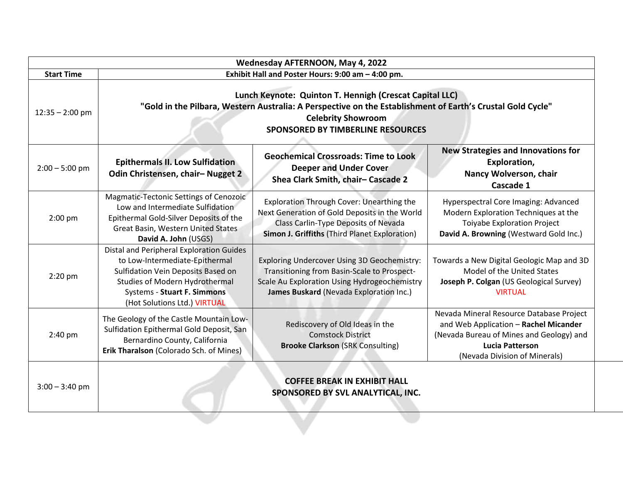| Wednesday AFTERNOON, May 4, 2022 |                                                                                                                                                                                                                                                                                                     |                                                                                                                                                                                            |                                                                                                                                                                                          |
|----------------------------------|-----------------------------------------------------------------------------------------------------------------------------------------------------------------------------------------------------------------------------------------------------------------------------------------------------|--------------------------------------------------------------------------------------------------------------------------------------------------------------------------------------------|------------------------------------------------------------------------------------------------------------------------------------------------------------------------------------------|
| <b>Start Time</b>                | Exhibit Hall and Poster Hours: 9:00 am - 4:00 pm.                                                                                                                                                                                                                                                   |                                                                                                                                                                                            |                                                                                                                                                                                          |
| $12:35 - 2:00$ pm                | Lunch Keynote: Quinton T. Hennigh (Crescat Capital LLC)<br>"Gold in the Pilbara, Western Australia: A Perspective on the Establishment of Earth's Crustal Gold Cycle"<br><b>Celebrity Showroom</b><br><b>SPONSORED BY TIMBERLINE RESOURCES</b>                                                      |                                                                                                                                                                                            |                                                                                                                                                                                          |
| $2:00 - 5:00$ pm                 | <b>New Strategies and Innovations for</b><br><b>Geochemical Crossroads: Time to Look</b><br><b>Epithermals II. Low Sulfidation</b><br>Exploration,<br><b>Deeper and Under Cover</b><br>Odin Christensen, chair-Nugget 2<br>Nancy Wolverson, chair<br>Shea Clark Smith, chair-Cascade 2<br>Cascade 1 |                                                                                                                                                                                            |                                                                                                                                                                                          |
| 2:00 pm                          | Magmatic-Tectonic Settings of Cenozoic<br>Low and Intermediate Sulfidation<br>Epithermal Gold-Silver Deposits of the<br>Great Basin, Western United States<br>David A. John (USGS)                                                                                                                  | Exploration Through Cover: Unearthing the<br>Next Generation of Gold Deposits in the World<br><b>Class Carlin-Type Deposits of Nevada</b><br>Simon J. Griffiths (Third Planet Exploration) | Hyperspectral Core Imaging: Advanced<br>Modern Exploration Techniques at the<br><b>Toiyabe Exploration Project</b><br>David A. Browning (Westward Gold Inc.)                             |
| $2:20$ pm                        | Distal and Peripheral Exploration Guides<br>to Low-Intermediate-Epithermal<br>Sulfidation Vein Deposits Based on<br>Studies of Modern Hydrothermal<br><b>Systems - Stuart F. Simmons</b><br>(Hot Solutions Ltd.) VIRTUAL                                                                            | Exploring Undercover Using 3D Geochemistry:<br>Transitioning from Basin-Scale to Prospect-<br>Scale Au Exploration Using Hydrogeochemistry<br>James Buskard (Nevada Exploration Inc.)      | Towards a New Digital Geologic Map and 3D<br>Model of the United States<br>Joseph P. Colgan (US Geological Survey)<br><b>VIRTUAL</b>                                                     |
| 2:40 pm                          | The Geology of the Castle Mountain Low-<br>Sulfidation Epithermal Gold Deposit, San<br>Bernardino County, California<br>Erik Tharalson (Colorado Sch. of Mines)                                                                                                                                     | Rediscovery of Old Ideas in the<br><b>Comstock District</b><br><b>Brooke Clarkson (SRK Consulting)</b>                                                                                     | Nevada Mineral Resource Database Project<br>and Web Application - Rachel Micander<br>(Nevada Bureau of Mines and Geology) and<br><b>Lucia Patterson</b><br>(Nevada Division of Minerals) |
| $3:00 - 3:40$ pm                 | <b>COFFEE BREAK IN EXHIBIT HALL</b><br>SPONSORED BY SVL ANALYTICAL, INC.                                                                                                                                                                                                                            |                                                                                                                                                                                            |                                                                                                                                                                                          |
|                                  |                                                                                                                                                                                                                                                                                                     |                                                                                                                                                                                            |                                                                                                                                                                                          |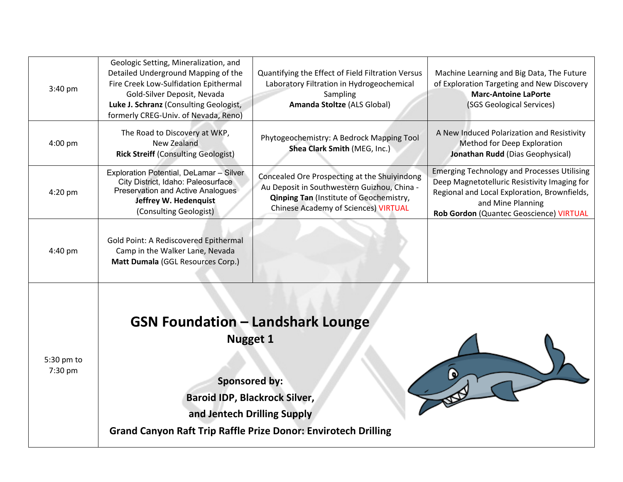| 3:40 pm               | Geologic Setting, Mineralization, and<br>Detailed Underground Mapping of the<br>Fire Creek Low-Sulfidation Epithermal<br>Gold-Silver Deposit, Nevada<br>Luke J. Schranz (Consulting Geologist,<br>formerly CREG-Univ. of Nevada, Reno) | Quantifying the Effect of Field Filtration Versus<br>Laboratory Filtration in Hydrogeochemical<br>Sampling<br>Amanda Stoltze (ALS Global)                                                    | Machine Learning and Big Data, The Future<br>of Exploration Targeting and New Discovery<br><b>Marc-Antoine LaPorte</b><br>(SGS Geological Services)                                                                |
|-----------------------|----------------------------------------------------------------------------------------------------------------------------------------------------------------------------------------------------------------------------------------|----------------------------------------------------------------------------------------------------------------------------------------------------------------------------------------------|--------------------------------------------------------------------------------------------------------------------------------------------------------------------------------------------------------------------|
| $4:00$ pm             | The Road to Discovery at WKP,<br>New Zealand<br><b>Rick Streiff (Consulting Geologist)</b>                                                                                                                                             | Phytogeochemistry: A Bedrock Mapping Tool<br>Shea Clark Smith (MEG, Inc.)                                                                                                                    | A New Induced Polarization and Resistivity<br>Method for Deep Exploration<br>Jonathan Rudd (Dias Geophysical)                                                                                                      |
| 4:20 pm               | Exploration Potential, DeLamar - Silver<br>City District, Idaho: Paleosurface<br>Preservation and Active Analogues<br>Jeffrey W. Hedenquist<br>(Consulting Geologist)                                                                  | Concealed Ore Prospecting at the Shuiyindong<br>Au Deposit in Southwestern Guizhou, China -<br><b>Qinping Tan (Institute of Geochemistry,</b><br><b>Chinese Academy of Sciences) VIRTUAL</b> | <b>Emerging Technology and Processes Utilising</b><br>Deep Magnetotelluric Resistivity Imaging for<br>Regional and Local Exploration, Brownfields,<br>and Mine Planning<br>Rob Gordon (Quantec Geoscience) VIRTUAL |
| 4:40 pm               | Gold Point: A Rediscovered Epithermal<br>Camp in the Walker Lane, Nevada<br>Matt Dumala (GGL Resources Corp.)                                                                                                                          |                                                                                                                                                                                              |                                                                                                                                                                                                                    |
| 5:30 pm to<br>7:30 pm | <b>GSN Foundation - Landshark Lounge</b><br><b>Nugget 1</b><br><b>Sponsored by:</b><br><b>Baroid IDP, Blackrock Silver,</b><br>and Jentech Drilling Supply<br><b>Grand Canyon Raft Trip Raffle Prize Donor: Envirotech Drilling</b>    |                                                                                                                                                                                              |                                                                                                                                                                                                                    |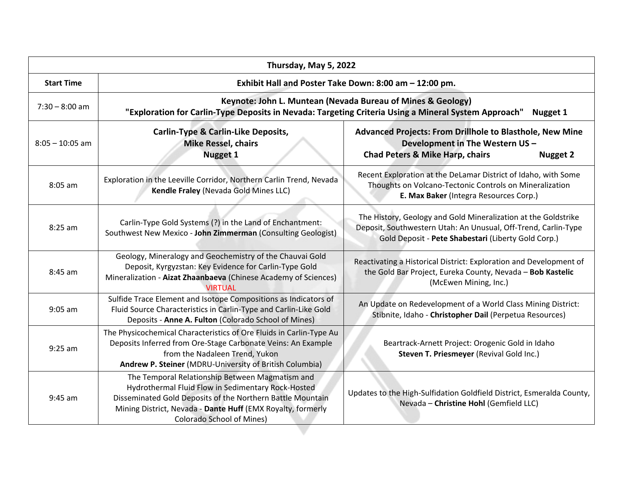| Thursday, May 5, 2022 |                                                                                                                                                                                                                                                                        |                                                                                                                                                                                         |  |
|-----------------------|------------------------------------------------------------------------------------------------------------------------------------------------------------------------------------------------------------------------------------------------------------------------|-----------------------------------------------------------------------------------------------------------------------------------------------------------------------------------------|--|
| <b>Start Time</b>     | Exhibit Hall and Poster Take Down: 8:00 am - 12:00 pm.                                                                                                                                                                                                                 |                                                                                                                                                                                         |  |
| $7:30 - 8:00$ am      | Keynote: John L. Muntean (Nevada Bureau of Mines & Geology)<br>"Exploration for Carlin-Type Deposits in Nevada: Targeting Criteria Using a Mineral System Approach"<br>Nugget 1                                                                                        |                                                                                                                                                                                         |  |
| $8:05 - 10:05$ am     | <b>Carlin-Type &amp; Carlin-Like Deposits,</b><br><b>Advanced Projects: From Drillhole to Blasthole, New Mine</b><br><b>Mike Ressel, chairs</b><br>Development in The Western US -<br><b>Nugget 1</b><br><b>Chad Peters &amp; Mike Harp, chairs</b><br><b>Nugget 2</b> |                                                                                                                                                                                         |  |
| $8:05$ am             | Exploration in the Leeville Corridor, Northern Carlin Trend, Nevada<br>Kendle Fraley (Nevada Gold Mines LLC)                                                                                                                                                           | Recent Exploration at the DeLamar District of Idaho, with Some<br>Thoughts on Volcano-Tectonic Controls on Mineralization<br>E. Max Baker (Integra Resources Corp.)                     |  |
| $8:25$ am             | Carlin-Type Gold Systems (?) in the Land of Enchantment:<br>Southwest New Mexico - John Zimmerman (Consulting Geologist)                                                                                                                                               | The History, Geology and Gold Mineralization at the Goldstrike<br>Deposit, Southwestern Utah: An Unusual, Off-Trend, Carlin-Type<br>Gold Deposit - Pete Shabestari (Liberty Gold Corp.) |  |
| $8:45$ am             | Geology, Mineralogy and Geochemistry of the Chauvai Gold<br>Deposit, Kyrgyzstan: Key Evidence for Carlin-Type Gold<br>Mineralization - Aizat Zhaanbaeva (Chinese Academy of Sciences)<br><b>VIRTUAL</b>                                                                | Reactivating a Historical District: Exploration and Development of<br>the Gold Bar Project, Eureka County, Nevada - Bob Kastelic<br>(McEwen Mining, Inc.)                               |  |
| $9:05$ am             | Sulfide Trace Element and Isotope Compositions as Indicators of<br>Fluid Source Characteristics in Carlin-Type and Carlin-Like Gold<br>Deposits - Anne A. Fulton (Colorado School of Mines)                                                                            | An Update on Redevelopment of a World Class Mining District:<br>Stibnite, Idaho - Christopher Dail (Perpetua Resources)                                                                 |  |
| $9:25$ am             | The Physicochemical Characteristics of Ore Fluids in Carlin-Type Au<br>Deposits Inferred from Ore-Stage Carbonate Veins: An Example<br>from the Nadaleen Trend, Yukon<br>Andrew P. Steiner (MDRU-University of British Columbia)                                       | Beartrack-Arnett Project: Orogenic Gold in Idaho<br>Steven T. Priesmeyer (Revival Gold Inc.)                                                                                            |  |
| $9:45$ am             | The Temporal Relationship Between Magmatism and<br>Hydrothermal Fluid Flow in Sedimentary Rock-Hosted<br>Disseminated Gold Deposits of the Northern Battle Mountain<br>Mining District, Nevada - Dante Huff (EMX Royalty, formerly<br><b>Colorado School of Mines)</b> | Updates to the High-Sulfidation Goldfield District, Esmeralda County,<br>Nevada - Christine Hohl (Gemfield LLC)                                                                         |  |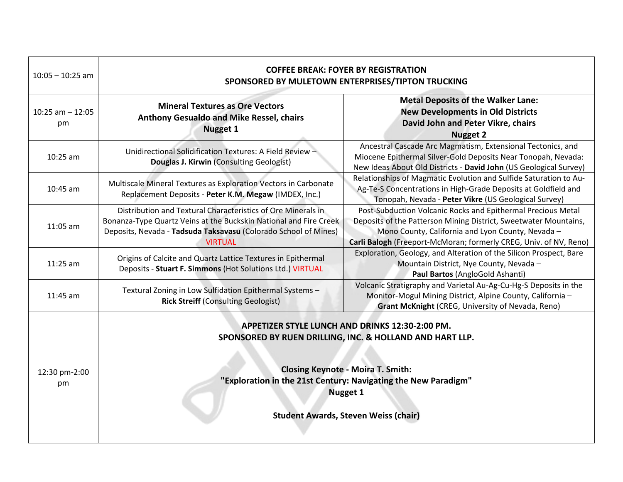| $10:05 - 10:25$ am        | <b>COFFEE BREAK: FOYER BY REGISTRATION</b><br>SPONSORED BY MULETOWN ENTERPRISES/TIPTON TRUCKING                                                                                                                                                                                              |                                                                                                                                                                                                                                                            |  |
|---------------------------|----------------------------------------------------------------------------------------------------------------------------------------------------------------------------------------------------------------------------------------------------------------------------------------------|------------------------------------------------------------------------------------------------------------------------------------------------------------------------------------------------------------------------------------------------------------|--|
| $10:25$ am $-12:05$<br>pm | <b>Mineral Textures as Ore Vectors</b><br><b>Anthony Gesualdo and Mike Ressel, chairs</b><br><b>Nugget 1</b>                                                                                                                                                                                 | <b>Metal Deposits of the Walker Lane:</b><br><b>New Developments in Old Districts</b><br>David John and Peter Vikre, chairs<br><b>Nugget 2</b>                                                                                                             |  |
| 10:25 am                  | Unidirectional Solidification Textures: A Field Review -<br>Douglas J. Kirwin (Consulting Geologist)                                                                                                                                                                                         | Ancestral Cascade Arc Magmatism, Extensional Tectonics, and<br>Miocene Epithermal Silver-Gold Deposits Near Tonopah, Nevada:<br>New Ideas About Old Districts - David John (US Geological Survey)                                                          |  |
| 10:45 am                  | Multiscale Mineral Textures as Exploration Vectors in Carbonate<br>Replacement Deposits - Peter K.M. Megaw (IMDEX, Inc.)                                                                                                                                                                     | Relationships of Magmatic Evolution and Sulfide Saturation to Au-<br>Ag-Te-S Concentrations in High-Grade Deposits at Goldfield and<br>Tonopah, Nevada - Peter Vikre (US Geological Survey)                                                                |  |
| 11:05 am                  | Distribution and Textural Characteristics of Ore Minerals in<br>Bonanza-Type Quartz Veins at the Buckskin National and Fire Creek<br>Deposits, Nevada - Tadsuda Taksavasu (Colorado School of Mines)<br><b>VIRTUAL</b>                                                                       | Post-Subduction Volcanic Rocks and Epithermal Precious Metal<br>Deposits of the Patterson Mining District, Sweetwater Mountains,<br>Mono County, California and Lyon County, Nevada -<br>Carli Balogh (Freeport-McMoran; formerly CREG, Univ. of NV, Reno) |  |
| 11:25 am                  | Origins of Calcite and Quartz Lattice Textures in Epithermal<br>Deposits - Stuart F. Simmons (Hot Solutions Ltd.) VIRTUAL                                                                                                                                                                    | Exploration, Geology, and Alteration of the Silicon Prospect, Bare<br>Mountain District, Nye County, Nevada -<br>Paul Bartos (AngloGold Ashanti)                                                                                                           |  |
| 11:45 am                  | Volcanic Stratigraphy and Varietal Au-Ag-Cu-Hg-S Deposits in the<br>Textural Zoning in Low Sulfidation Epithermal Systems -<br>Monitor-Mogul Mining District, Alpine County, California -<br><b>Rick Streiff (Consulting Geologist)</b><br>Grant McKnight (CREG, University of Nevada, Reno) |                                                                                                                                                                                                                                                            |  |
| 12:30 pm-2:00<br>pm       | APPETIZER STYLE LUNCH AND DRINKS 12:30-2:00 PM.<br>SPONSORED BY RUEN DRILLING, INC. & HOLLAND AND HART LLP.<br><b>Closing Keynote - Moira T. Smith:</b><br>"Exploration in the 21st Century: Navigating the New Paradigm"<br><b>Nugget 1</b><br><b>Student Awards, Steven Weiss (chair)</b>  |                                                                                                                                                                                                                                                            |  |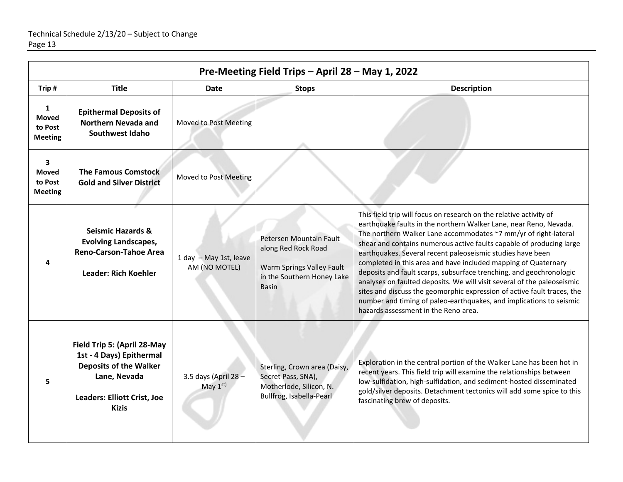| Pre-Meeting Field Trips - April 28 - May 1, 2022                     |                                                                                                                                                                |                                         |                                                                                                                           |                                                                                                                                                                                                                                                                                                                                                                                                                                                                                                                                                                                                                                                                                                                                                                |  |  |  |  |
|----------------------------------------------------------------------|----------------------------------------------------------------------------------------------------------------------------------------------------------------|-----------------------------------------|---------------------------------------------------------------------------------------------------------------------------|----------------------------------------------------------------------------------------------------------------------------------------------------------------------------------------------------------------------------------------------------------------------------------------------------------------------------------------------------------------------------------------------------------------------------------------------------------------------------------------------------------------------------------------------------------------------------------------------------------------------------------------------------------------------------------------------------------------------------------------------------------------|--|--|--|--|
| Trip#                                                                | <b>Title</b>                                                                                                                                                   | Date                                    | <b>Stops</b>                                                                                                              | <b>Description</b>                                                                                                                                                                                                                                                                                                                                                                                                                                                                                                                                                                                                                                                                                                                                             |  |  |  |  |
| 1<br><b>Moved</b><br>to Post<br><b>Meeting</b>                       | <b>Epithermal Deposits of</b><br><b>Northern Nevada and</b><br>Southwest Idaho                                                                                 | Moved to Post Meeting                   |                                                                                                                           |                                                                                                                                                                                                                                                                                                                                                                                                                                                                                                                                                                                                                                                                                                                                                                |  |  |  |  |
| $\overline{\mathbf{3}}$<br><b>Moved</b><br>to Post<br><b>Meeting</b> | <b>The Famous Comstock</b><br><b>Gold and Silver District</b>                                                                                                  | Moved to Post Meeting                   |                                                                                                                           |                                                                                                                                                                                                                                                                                                                                                                                                                                                                                                                                                                                                                                                                                                                                                                |  |  |  |  |
| 4                                                                    | <b>Seismic Hazards &amp;</b><br><b>Evolving Landscapes,</b><br><b>Reno-Carson-Tahoe Area</b><br><b>Leader: Rich Koehler</b>                                    | 1 day - May 1st, leave<br>AM (NO MOTEL) | Petersen Mountain Fault<br>along Red Rock Road<br>Warm Springs Valley Fault<br>in the Southern Honey Lake<br><b>Basin</b> | This field trip will focus on research on the relative activity of<br>earthquake faults in the northern Walker Lane, near Reno, Nevada.<br>The northern Walker Lane accommodates ~7 mm/yr of right-lateral<br>shear and contains numerous active faults capable of producing large<br>earthquakes. Several recent paleoseismic studies have been<br>completed in this area and have included mapping of Quaternary<br>deposits and fault scarps, subsurface trenching, and geochronologic<br>analyses on faulted deposits. We will visit several of the paleoseismic<br>sites and discuss the geomorphic expression of active fault traces, the<br>number and timing of paleo-earthquakes, and implications to seismic<br>hazards assessment in the Reno area. |  |  |  |  |
| 5                                                                    | Field Trip 5: (April 28-May<br>1st - 4 Days) Epithermal<br><b>Deposits of the Walker</b><br>Lane, Nevada<br><b>Leaders: Elliott Crist, Joe</b><br><b>Kizis</b> | 3.5 days (April 28 -<br>May $1st$       | Sterling, Crown area (Daisy,<br>Secret Pass, SNA),<br>Motherlode, Silicon, N.<br>Bullfrog, Isabella-Pearl                 | Exploration in the central portion of the Walker Lane has been hot in<br>recent years. This field trip will examine the relationships between<br>low-sulfidation, high-sulfidation, and sediment-hosted disseminated<br>gold/silver deposits. Detachment tectonics will add some spice to this<br>fascinating brew of deposits.                                                                                                                                                                                                                                                                                                                                                                                                                                |  |  |  |  |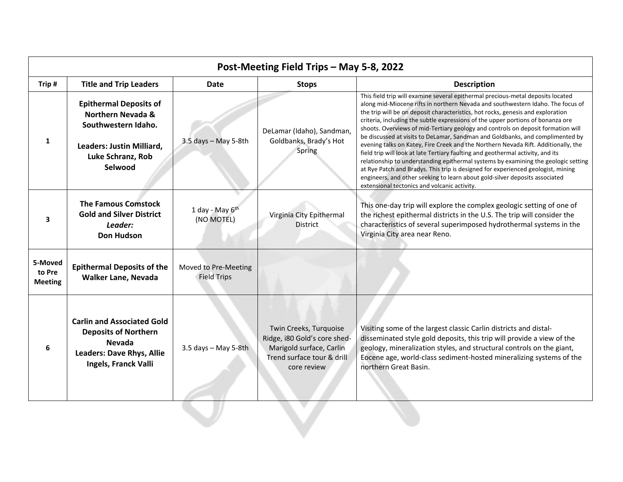| Post-Meeting Field Trips - May 5-8, 2022 |                                                                                                                                                   |                                            |                                                                                                                                 |                                                                                                                                                                                                                                                                                                                                                                                                                                                                                                                                                                                                                                                                                                                                                                                                                                                                                                                                                                                                 |  |  |  |
|------------------------------------------|---------------------------------------------------------------------------------------------------------------------------------------------------|--------------------------------------------|---------------------------------------------------------------------------------------------------------------------------------|-------------------------------------------------------------------------------------------------------------------------------------------------------------------------------------------------------------------------------------------------------------------------------------------------------------------------------------------------------------------------------------------------------------------------------------------------------------------------------------------------------------------------------------------------------------------------------------------------------------------------------------------------------------------------------------------------------------------------------------------------------------------------------------------------------------------------------------------------------------------------------------------------------------------------------------------------------------------------------------------------|--|--|--|
| Trip#                                    | <b>Title and Trip Leaders</b>                                                                                                                     | <b>Date</b>                                | <b>Stops</b>                                                                                                                    | <b>Description</b>                                                                                                                                                                                                                                                                                                                                                                                                                                                                                                                                                                                                                                                                                                                                                                                                                                                                                                                                                                              |  |  |  |
| 1                                        | <b>Epithermal Deposits of</b><br><b>Northern Nevada &amp;</b><br>Southwestern Idaho.<br>Leaders: Justin Milliard,<br>Luke Schranz, Rob<br>Selwood | $3.5$ days - May 5-8th                     | DeLamar (Idaho), Sandman,<br>Goldbanks, Brady's Hot<br>Spring                                                                   | This field trip will examine several epithermal precious-metal deposits located<br>along mid-Miocene rifts in northern Nevada and southwestern Idaho. The focus of<br>the trip will be on deposit characteristics, hot rocks, genesis and exploration<br>criteria, including the subtle expressions of the upper portions of bonanza ore<br>shoots. Overviews of mid-Tertiary geology and controls on deposit formation will<br>be discussed at visits to DeLamar, Sandman and Goldbanks, and complimented by<br>evening talks on Katey, Fire Creek and the Northern Nevada Rift. Additionally, the<br>field trip will look at late Tertiary faulting and geothermal activity, and its<br>relationship to understanding epithermal systems by examining the geologic setting<br>at Rye Patch and Bradys. This trip is designed for experienced geologist, mining<br>engineers, and other seeking to learn about gold-silver deposits associated<br>extensional tectonics and volcanic activity. |  |  |  |
| 3                                        | <b>The Famous Comstock</b><br><b>Gold and Silver District</b><br>Leader:<br><b>Don Hudson</b>                                                     | 1 day - May $6th$<br>(NO MOTEL)            | Virginia City Epithermal<br><b>District</b>                                                                                     | This one-day trip will explore the complex geologic setting of one of<br>the richest epithermal districts in the U.S. The trip will consider the<br>characteristics of several superimposed hydrothermal systems in the<br>Virginia City area near Reno.                                                                                                                                                                                                                                                                                                                                                                                                                                                                                                                                                                                                                                                                                                                                        |  |  |  |
| 5-Moved<br>to Pre<br><b>Meeting</b>      | <b>Epithermal Deposits of the</b><br><b>Walker Lane, Nevada</b>                                                                                   | Moved to Pre-Meeting<br><b>Field Trips</b> |                                                                                                                                 |                                                                                                                                                                                                                                                                                                                                                                                                                                                                                                                                                                                                                                                                                                                                                                                                                                                                                                                                                                                                 |  |  |  |
| 6                                        | <b>Carlin and Associated Gold</b><br><b>Deposits of Northern</b><br><b>Nevada</b><br><b>Leaders: Dave Rhys, Allie</b><br>Ingels, Franck Valli     | 3.5 days - May 5-8th                       | Twin Creeks, Turquoise<br>Ridge, i80 Gold's core shed-<br>Marigold surface, Carlin<br>Trend surface tour & drill<br>core review | Visiting some of the largest classic Carlin districts and distal-<br>disseminated style gold deposits, this trip will provide a view of the<br>geology, mineralization styles, and structural controls on the giant,<br>Eocene age, world-class sediment-hosted mineralizing systems of the<br>northern Great Basin.                                                                                                                                                                                                                                                                                                                                                                                                                                                                                                                                                                                                                                                                            |  |  |  |
|                                          |                                                                                                                                                   |                                            |                                                                                                                                 |                                                                                                                                                                                                                                                                                                                                                                                                                                                                                                                                                                                                                                                                                                                                                                                                                                                                                                                                                                                                 |  |  |  |